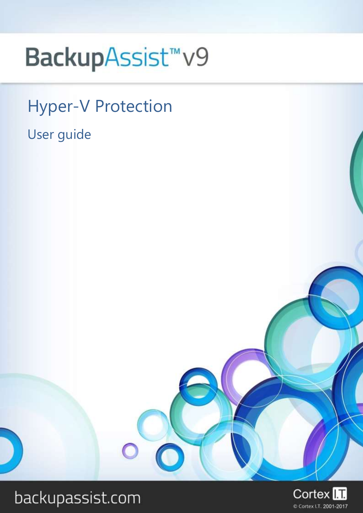# BackupAssist<sup>™</sup>v9

Hyper-V Protection User guide

## backupassist.com

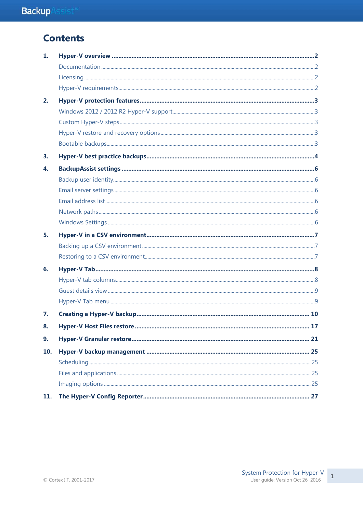## **Contents**

| 1.  |  |
|-----|--|
|     |  |
|     |  |
|     |  |
| 2.  |  |
|     |  |
|     |  |
|     |  |
|     |  |
| 3.  |  |
| 4.  |  |
|     |  |
|     |  |
|     |  |
|     |  |
|     |  |
| 5.  |  |
|     |  |
|     |  |
| 6.  |  |
|     |  |
|     |  |
|     |  |
| 7.  |  |
| 8.  |  |
| 9.  |  |
| 10. |  |
|     |  |
|     |  |
|     |  |
| 11. |  |

 $\mathbf 1$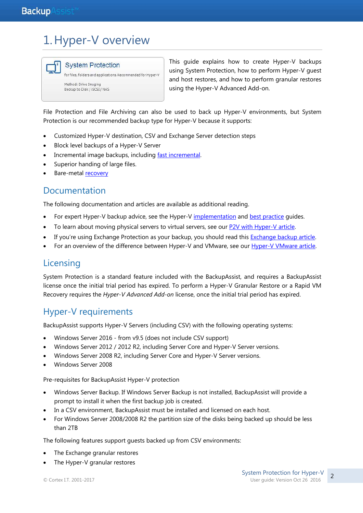## 1.Hyper-V overview



for files, folders and applications. Recommended for Hyper-V Method: Drive Imaging Backup to Disk / iSCSI / NAS

This guide explains how to create Hyper-V backups using System Protection, how to perform Hyper-V guest and host restores, and how to perform granular restores using the Hyper-V Advanced Add-on.

File Protection and File Archiving can also be used to back up Hyper-V environments, but System Protection is our recommended backup type for Hyper-V because it supports:

- Customized Hyper-V destination, CSV and Exchange Server detection steps
- Block level backups of a Hyper-V Server
- Incremental image backups, including [fast incremental.](http://www.backupassist.com/blog/support/fast-incremental-backups-for-system-protection/#more-2574)
- Superior handing of large files.
- Bare-metal [recovery](http://www.backupassist.com/education/v9/backupassist/system-recovery-guide.html)

### Documentation

The following documentation and articles are available as additional reading.

- For expert Hyper-V backup advice, see the Hyper-V [implementation](http://www.backupassist.com/education/resources/hyperv_implementation_guide.html) and [best practice](http://www.backupassist.com/blog/support/10-tips-for-best-practice-hyper-v-backups/) quides.
- To learn about moving physical servers to virtual servers, see our [P2V with Hyper-V article.](http://www.backupassist.com/blog/guides/p2v-with-hyper-v-whats-it-all-about/)
- If you're using Exchange Protection as your backup, you should read this [Exchange backup article.](http://www.backupassist.com/education/articles/mailbox-backups-from-hyper-v-host.html)
- For an overview of the difference between Hyper-V and VMware, see our [Hyper-V VMware article.](http://www.backupassist.com/education/articles/difference-between-windows-hyper-v-and-vmware.html)

## **Licensing**

System Protection is a standard feature included with the BackupAssist, and requires a BackupAssist license once the initial trial period has expired. To perform a Hyper-V Granular Restore or a Rapid VM Recovery requires the *Hyper-V Advanced Add-on* license, once the initial trial period has expired.

## Hyper-V requirements

BackupAssist supports Hyper-V Servers (including CSV) with the following operating systems:

- Windows Server 2016 from v9.5 (does not include CSV support)
- Windows Server 2012 / 2012 R2, including Server Core and Hyper-V Server versions.
- Windows Server 2008 R2, including Server Core and Hyper-V Server versions.
- Windows Server 2008

Pre-requisites for BackupAssist Hyper-V protection

- Windows Server Backup. If Windows Server Backup is not installed, BackupAssist will provide a prompt to install it when the first backup job is created.
- In a CSV environment, BackupAssist must be installed and licensed on each host.
- For Windows Server 2008/2008 R2 the partition size of the disks being backed up should be less than 2TB

The following features support guests backed up from CSV environments:

- The Exchange granular restores
- The Hyper-V granular restores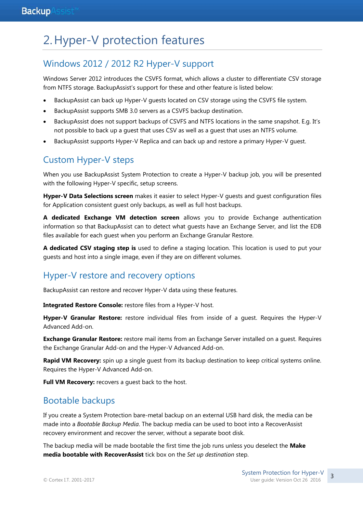## 2.Hyper-V protection features

## Windows 2012 / 2012 R2 Hyper-V support

Windows Server 2012 introduces the CSVFS format, which allows a cluster to differentiate CSV storage from NTFS storage. BackupAssist's support for these and other feature is listed below:

- BackupAssist can back up Hyper-V guests located on CSV storage using the CSVFS file system.
- BackupAssist supports SMB 3.0 servers as a CSVFS backup destination.
- BackupAssist does not support backups of CSVFS and NTFS locations in the same snapshot. E.g. It's not possible to back up a guest that uses CSV as well as a guest that uses an NTFS volume.
- BackupAssist supports Hyper-V Replica and can back up and restore a primary Hyper-V guest.

## Custom Hyper-V steps

When you use BackupAssist System Protection to create a Hyper-V backup job, you will be presented with the following Hyper-V specific, setup screens.

**Hyper-V Data Selections screen** makes it easier to select Hyper-V guests and guest configuration files for Application consistent guest only backups, as well as full host backups.

**A dedicated Exchange VM detection screen** allows you to provide Exchange authentication information so that BackupAssist can to detect what guests have an Exchange Server, and list the EDB files available for each guest when you perform an Exchange Granular Restore.

**A dedicated CSV staging step is** used to define a staging location. This location is used to put your guests and host into a single image, even if they are on different volumes.

## Hyper-V restore and recovery options

BackupAssist can restore and recover Hyper-V data using these features.

**Integrated Restore Console:** restore files from a Hyper-V host.

**Hyper-V Granular Restore:** restore individual files from inside of a guest. Requires the Hyper-V Advanced Add-on.

**Exchange Granular Restore:** restore mail items from an Exchange Server installed on a guest. Requires the Exchange Granular Add-on and the Hyper-V Advanced Add-on.

**Rapid VM Recovery:** spin up a single guest from its backup destination to keep critical systems online. Requires the Hyper-V Advanced Add-on.

Full VM Recovery: recovers a guest back to the host.

## Bootable backups

If you create a System Protection bare-metal backup on an external USB hard disk, the media can be made into a *Bootable Backup Media*. The backup media can be used to boot into a RecoverAssist recovery environment and recover the server, without a separate boot disk.

The backup media will be made bootable the first time the job runs unless you deselect the **Make media bootable with RecoverAssist** tick box on the *Set up destination* step.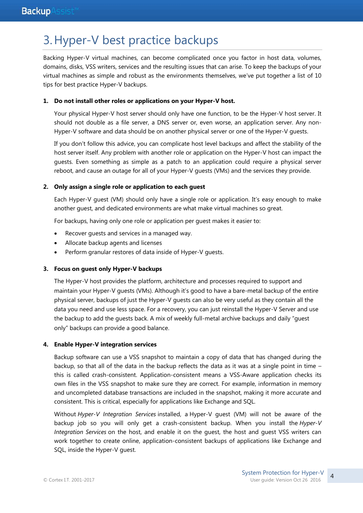## 3.Hyper-V best practice backups

Backing Hyper-V virtual machines, can become complicated once you factor in host data, volumes, domains, disks, VSS writers, services and the resulting issues that can arise. To keep the backups of your virtual machines as simple and robust as the environments themselves, we've put together a list of 10 tips for best practice Hyper-V backups.

#### **1. Do not install other roles or applications on your Hyper-V host.**

Your physical Hyper-V host server should only have one function, to be the Hyper-V host server. It should not double as a file server, a DNS server or, even worse, an application server. Any non-Hyper-V software and data should be on another physical server or one of the Hyper-V guests.

If you don't follow this advice, you can complicate host level backups and affect the stability of the host server itself. Any problem with another role or application on the Hyper-V host can impact the guests. Even something as simple as a patch to an application could require a physical server reboot, and cause an outage for all of your Hyper-V guests (VMs) and the services they provide.

#### **2. Only assign a single role or application to each guest**

Each Hyper-V guest (VM) should only have a single role or application. It's easy enough to make another guest, and dedicated environments are what make virtual machines so great.

For backups, having only one role or application per guest makes it easier to:

- Recover guests and services in a managed way.
- Allocate backup agents and licenses
- Perform granular restores of data inside of Hyper-V guests.

#### **3. Focus on guest only Hyper-V backups**

The Hyper-V host provides the platform, architecture and processes required to support and maintain your Hyper-V guests (VMs). Although it's good to have a bare-metal backup of the entire physical server, backups of just the Hyper-V guests can also be very useful as they contain all the data you need and use less space. For a recovery, you can just reinstall the Hyper-V Server and use the backup to add the guests back. A mix of weekly full-metal archive backups and daily "guest only" backups can provide a good balance.

#### **4. Enable Hyper-V integration services**

Backup software can use a VSS snapshot to maintain a copy of data that has changed during the backup, so that all of the data in the backup reflects the data as it was at a single point in time – this is called crash-consistent. Application-consistent means a VSS-Aware application checks its own files in the VSS snapshot to make sure they are correct. For example, information in memory and uncompleted database transactions are included in the snapshot, making it more accurate and consistent. This is critical, especially for applications like Exchange and SQL.

Without *Hyper-V Integration Services* installed, a Hyper-V guest (VM) will not be aware of the backup job so you will only get a crash-consistent backup. When you install the *Hyper-V Integration Services* on the host, and enable it on the guest, the host and guest VSS writers can work together to create online, application-consistent backups of applications like Exchange and SQL, inside the Hyper-V guest.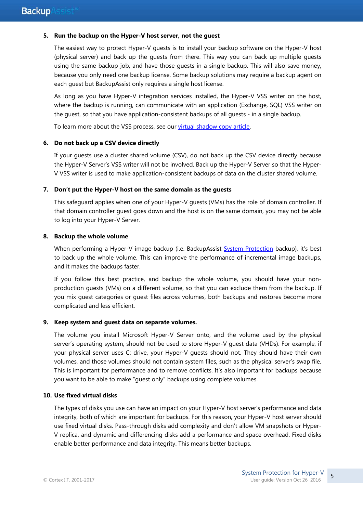#### **5. Run the backup on the Hyper-V host server, not the guest**

The easiest way to protect Hyper-V guests is to install your backup software on the Hyper-V host (physical server) and back up the guests from there. This way you can back up multiple guests using the same backup job, and have those guests in a single backup. This will also save money, because you only need one backup license. Some backup solutions may require a backup agent on each guest but BackupAssist only requires a single host license.

As long as you have Hyper-V integration services installed, the Hyper-V VSS writer on the host, where the backup is running, can communicate with an application (Exchange, SQL) VSS writer on the guest, so that you have application-consistent backups of all guests - in a single backup.

To learn more about the VSS process, see our [virtual shadow copy article.](http://www.backupassist.com/BackupAssist/tour_creating_consistent_backups_with_vss.html)

#### **6. Do not back up a CSV device directly**

If your guests use a cluster shared volume (CSV), do not back up the CSV device directly because the Hyper-V Server's VSS writer will not be involved. Back up the Hyper-V Server so that the Hyper-V VSS writer is used to make application-consistent backups of data on the cluster shared volume.

#### **7. Don't put the Hyper-V host on the same domain as the guests**

This safeguard applies when one of your Hyper-V guests (VMs) has the role of domain controller. If that domain controller guest goes down and the host is on the same domain, you may not be able to log into your Hyper-V Server.

#### **8. Backup the whole volume**

When performing a Hyper-V image backup (i.e. BackupAssist [System Protection](http://www.backupassist.com/education/v9/backupassist/system-protection-guide.html) backup), it's best to back up the whole volume. This can improve the performance of incremental image backups, and it makes the backups faster.

If you follow this best practice, and backup the whole volume, you should have your nonproduction guests (VMs) on a different volume, so that you can exclude them from the backup. If you mix guest categories or guest files across volumes, both backups and restores become more complicated and less efficient.

#### **9. Keep system and guest data on separate volumes.**

The volume you install Microsoft Hyper-V Server onto, and the volume used by the physical server's operating system, should not be used to store Hyper-V guest data (VHDs). For example, if your physical server uses C: drive, your Hyper-V guests should not. They should have their own volumes, and those volumes should not contain system files, such as the physical server's swap file. This is important for performance and to remove conflicts. It's also important for backups because you want to be able to make "guest only" backups using complete volumes.

#### **10. Use fixed virtual disks**

The types of disks you use can have an impact on your Hyper-V host server's performance and data integrity, both of which are important for backups. For this reason, your Hyper-V host server should use fixed virtual disks. Pass-through disks add complexity and don't allow VM snapshots or Hyper-V replica, and dynamic and differencing disks add a performance and space overhead. Fixed disks enable better performance and data integrity. This means better backups.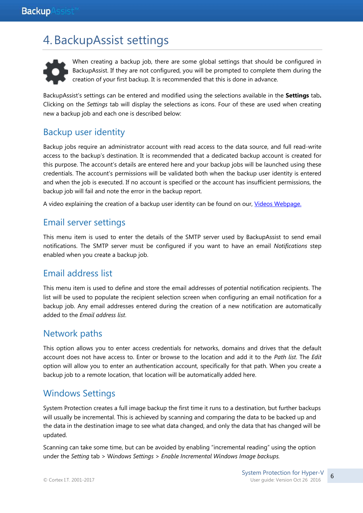## 4.BackupAssist settings



When creating a backup job, there are some global settings that should be configured in BackupAssist. If they are not configured, you will be prompted to complete them during the creation of your first backup. It is recommended that this is done in advance.

<span id="page-6-0"></span>BackupAssist's settings can be entered and modified using the selections available in the **Settings** tab**.**  Clicking on the *Settings* tab will display the selections as icons. Four of these are used when creating new a backup job and each one is described below:

## Backup user identity

Backup jobs require an administrator account with read access to the data source, and full read-write access to the backup's destination. It is recommended that a dedicated backup account is created for this purpose. The account's details are entered here and your backup jobs will be launched using these credentials. The account's permissions will be validated both when the backup user identity is entered and when the job is executed. If no account is specified or the account has insufficient permissions, the backup job will fail and note the error in the backup report.

A video explaining the creation of a backup user identity can be found on our, [Videos Webpage.](http://www.backupassist.com/education/videos.html)

### Email server settings

This menu item is used to enter the details of the SMTP server used by BackupAssist to send email notifications. The SMTP server must be configured if you want to have an email *Notifications* step enabled when you create a backup job.

### Email address list

This menu item is used to define and store the email addresses of potential notification recipients. The list will be used to populate the recipient selection screen when configuring an email notification for a backup job. Any email addresses entered during the creation of a new notification are automatically added to the *Email address list*.

### Network paths

This option allows you to enter access credentials for networks, domains and drives that the default account does not have access to. Enter or browse to the location and add it to the *Path list*. The *Edit* option will allow you to enter an authentication account, specifically for that path. When you create a backup job to a remote location, that location will be automatically added here.

### Windows Settings

System Protection creates a full image backup the first time it runs to a destination, but further backups will usually be incremental. This is achieved by scanning and comparing the data to be backed up and the data in the destination image to see what data changed, and only the data that has changed will be updated.

Scanning can take some time, but can be avoided by enabling "incremental reading" using the option under the *Setting* tab > W*indows Settings* > *Enable Incremental Windows Image backups.*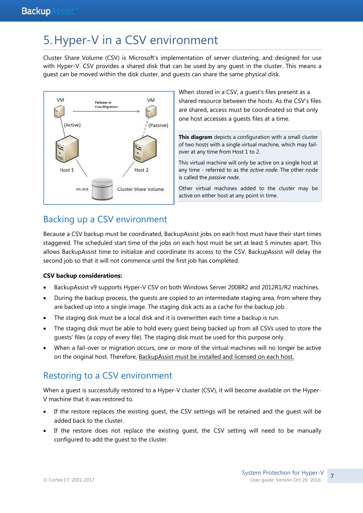## <span id="page-7-0"></span>5.Hyper-V in a CSV environment

Cluster Share Volume (CSV) is Microsoft's implementation of server clustering, and designed for use with Hyper-V. CSV provides a shared disk that can be used by any guest in the cluster. This means a guest can be moved within the disk cluster, and guests can share the same physical disk.



When stored in a CSV, a guest's files present as a shared resource between the hosts. As the CSV's files are shared, access must be coordinated so that only one host accesses a guests files at a time.

**This diagram** depicts a configuration with a small cluster of two hosts with a single virtual machine, which may failover at any time from Host 1 to 2.

This virtual machine will only be active on a single host at any time - referred to as the *active node*. The other node is called the *passive node*.

Other virtual machines added to the cluster may be active on either host at any point in time.

## <span id="page-7-1"></span>Backing up a CSV environment

Because a CSV backup must be coordinated, BackupAssist jobs on each host must have their start times staggered. The scheduled start time of the jobs on each host must be set at least 5 minutes apart. This allows BackupAssist time to initialize and coordinate its access to the CSV. BackupAssist will delay the second job so that it will not commence until the first job has completed.

#### **CSV backup considerations:**

- BackupAssist v9 supports Hyper-V CSV on both Windows Server 2008R2 and 2012R1/R2 machines.
- During the backup process, the guests are copied to an intermediate staging area, from where they are backed up into a single image. The staging disk acts as a cache for the backup job.
- The staging disk must be a local disk and it is overwritten each time a backup is run.
- The staging disk must be able to hold every guest being backed up from all CSVs used to store the guests' files (a copy of every file). The staging disk must be used for this purpose only.
- When a fail-over or migration occurs, one or more of the virtual machines will no longer be active on the original host. Therefore, BackupAssist must be installed and licensed on each host.

## <span id="page-7-2"></span>Restoring to a CSV environment

When a quest is successfully restored to a Hyper-V cluster (CSV), it will become available on the Hyper-V machine that it was restored to.

- If the restore replaces the existing guest, the CSV settings will be retained and the guest will be added back to the cluster.
- If the restore does not replace the existing guest, the CSV setting will need to be manually configured to add the guest to the cluster.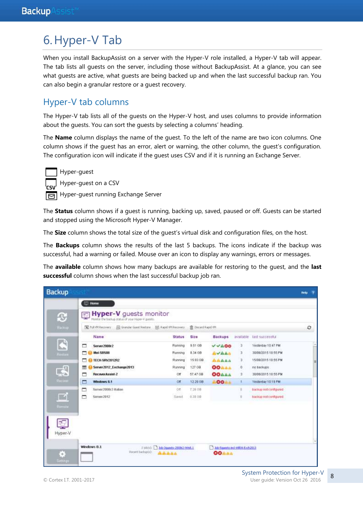## 6.Hyper-V Tab

When you install BackupAssist on a server with the Hyper-V role installed, a Hyper-V tab will appear. The tab lists all guests on the server, including those without BackupAssist. At a glance, you can see what guests are active, what guests are being backed up and when the last successful backup ran. You can also begin a granular restore or a guest recovery.

### Hyper-V tab columns

The Hyper-V tab lists all of the guests on the Hyper-V host, and uses columns to provide information about the guests. You can sort the guests by selecting a columns' heading.

The **Name** column displays the name of the guest. To the left of the name are two icon columns. One column shows if the guest has an error, alert or warning, the other column, the guest's configuration. The configuration icon will indicate if the guest uses CSV and if it is running an Exchange Server.

Hyper-guest

Hyper-guest on a CSV

Hyper-guest running Exchange Server

The **Status** column shows if a guest is running, backing up, saved, paused or off. Guests can be started and stopped using the Microsoft Hyper-V Manager.

The **Size** column shows the total size of the guest's virtual disk and configuration files, on the host.

The **Backups** column shows the results of the last 5 backups. The icons indicate if the backup was successful, had a warning or failed. Mouse over an icon to display any warnings, errors or messages.

The **available** column shows how many backups are available for restoring to the guest, and the **last successful** column shows when the last successful backup job ran.

| <b>Backup</b>        |                                                                             |                                     |                   |                                               |          |                       | $\overline{\phantom{a}}$<br>Reip |
|----------------------|-----------------------------------------------------------------------------|-------------------------------------|-------------------|-----------------------------------------------|----------|-----------------------|----------------------------------|
|                      | E Home                                                                      |                                     |                   |                                               |          |                       |                                  |
| ß,                   | Hyper-V guests monitor<br>Monitor the backup status of your Hyper-V guests. |                                     |                   |                                               |          |                       |                                  |
| <b>HACKUP</b>        | N hull VM Recovery For Granular Guest Restore For Rapid W1 Recovery         |                                     | 音 Decard Rapid WA |                                               |          |                       | o                                |
|                      | Name                                                                        | Status                              | Size              | <b>Backups</b>                                | avarable | last successful       |                                  |
| $\overline{\bullet}$ | г<br>Server2008r2                                                           | Running                             | 9.51 GB           | VVAOO                                         | з        | Yesterday 10:47 PM    |                                  |
| Restou               | Mel-5BS08                                                                   | Running                             | <b>B.34 GB</b>    | AVAAA                                         | з        | 30/06/2015 10:55 PM   |                                  |
|                      | <b>TECH-SRV2012R2</b>                                                       | Running                             | 15.93 GB          | <b>AAAAA</b>                                  | з        | 15/08/2015 10:55 PM   |                                  |
|                      | Server2012_Exchange2013                                                     | Running                             | 127.08            | <b>OOAAA</b>                                  | O.       | no backups.           |                                  |
| 5                    | <b>RecoverAssist-2</b><br>п                                                 | öf                                  | 57.47 GB          | <b>OOAAA</b>                                  | з        | 30/06/2015 10:55 PM   |                                  |
| Recine               | Windows 8.1<br>□                                                            | or                                  | 12.29 OB          | AOOAA                                         | <b>i</b> | Vesterday 10:19 PM    |                                  |
|                      | Server2008r2-Italian<br>−                                                   | Off                                 | 7.26 08           |                                               | h        | backup not configured |                                  |
| $\Box$               | Server2012<br>□                                                             | Saved                               | 838 88            |                                               | 'n       | hackup not configured |                                  |
| Renode               |                                                                             |                                     |                   |                                               |          |                       |                                  |
|                      |                                                                             |                                     |                   |                                               |          |                       |                                  |
|                      |                                                                             |                                     |                   |                                               |          |                       |                                  |
|                      |                                                                             |                                     |                   |                                               |          |                       |                                  |
| Hyper-V              |                                                                             |                                     |                   |                                               |          |                       |                                  |
|                      |                                                                             |                                     |                   |                                               |          |                       |                                  |
|                      | Windows 8.1<br>Recent backup(s):                                            | 2 (601) 3 3d-3 pents-2006 2-Wind, 1 |                   | Ad-Squesta-incl-WIRA-Exch2013<br><b>OOAAA</b> |          |                       |                                  |
| Ξ                    |                                                                             | <b>AAAAA</b>                        |                   |                                               |          |                       |                                  |
| Sathhya              |                                                                             |                                     |                   |                                               |          |                       |                                  |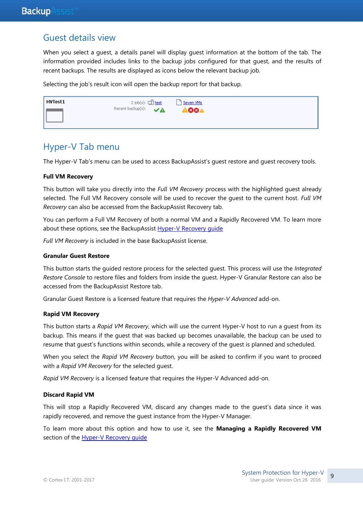### Guest details view

When you select a guest, a details panel will display guest information at the bottom of the tab. The information provided includes links to the backup jobs configured for that guest, and the results of recent backups. The results are displayed as icons below the relevant backup job.

Selecting the job's result icon will open the backup report for that backup.

| HVTest1 | 2 job(s): $\Box$ test                | Seven VMs  |
|---------|--------------------------------------|------------|
|         | Recent backup(s): $\sqrt{\triangle}$ | <b>884</b> |

### Hyper-V Tab menu

The Hyper-V Tab's menu can be used to access BackupAssist's guest restore and guest recovery tools.

#### **Full VM Recovery**

This button will take you directly into the *Full VM Recovery* process with the highlighted guest already selected. The Full VM Recovery console will be used to recover the guest to the current host. *Full VM Recovery* can also be accessed from the BackupAssist Recovery tab.

You can perform a Full VM Recovery of both a normal VM and a Rapidly Recovered VM. To learn more about these options, see the BackupAssist Hyper-V Recovery quide

*Full VM Recovery* is included in the base BackupAssist license.

#### **Granular Guest Restore**

This button starts the guided restore process for the selected guest. This process will use the *Integrated Restore Console* to restore files and folders from inside the guest. Hyper-V Granular Restore can also be accessed from the BackupAssist Restore tab.

Granular Guest Restore is a licensed feature that requires the *Hyper-V Advanced* add-on.

#### **Rapid VM Recovery**

This button starts a *Rapid VM Recovery*, which will use the current Hyper-V host to run a guest from its backup. This means if the guest that was backed up becomes unavailable, the backup can be used to resume that guest's functions within seconds, while a recovery of the guest is planned and scheduled.

When you select the *Rapid VM Recovery* button, you will be asked to confirm if you want to proceed with a *Rapid VM Recovery* for the selected guest.

*Rapid VM Recovery* is a licensed feature that requires the Hyper-V Advanced add-on.

#### **Discard Rapid VM**

This will stop a Rapidly Recovered VM, discard any changes made to the guest's data since it was rapidly recovered, and remove the guest instance from the Hyper-V Manager.

To learn more about this option and how to use it, see the **Managing a Rapidly Recovered VM** section of the Hyper-V Recovery quide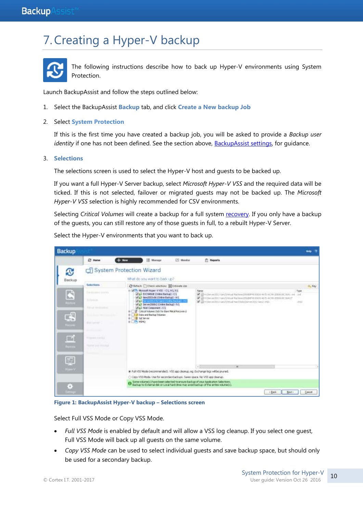## 7.Creating a Hyper-V backup



The following instructions describe how to back up Hyper-V environments using System Protection.

Launch BackupAssist and follow the steps outlined below:

1. Select the BackupAssist **Backup** tab, and click **Create a New backup Job**

#### 2. Select **System Protection**

If this is the first time you have created a backup job, you will be asked to provide a *Backup user identity* if one has not been defined. See the section above[, BackupAssist settings,](#page-6-0) for guidance.

#### 3. **Selections**

The selections screen is used to select the Hyper-V host and guests to be backed up.

If you want a full Hyper-V Server backup, select *Microsoft Hyper-V VSS* and the required data will be ticked. If this is not selected, failover or migrated guests may not be backed up. The *Microsoft Hyper-V VSS* selection is highly recommended for CSV environments.

Selecting *Critical Volumes* will create a backup for a full system [recovery.](http://www.backupassist.com/education/v9/backupassist/system-recovery-guide.html) If you only have a backup of the guests, you can still restore any of those guests in full, to a rebuilt Hyper-V Server.

Select the Hyper-V environments that you want to back up.

| <b>Backup</b>               |                                         |                                      |                                                                                                                                                                  |           |                                                                                                                                                                                                                                                                                                                                                                               |                      | <b>Hotp</b> |
|-----------------------------|-----------------------------------------|--------------------------------------|------------------------------------------------------------------------------------------------------------------------------------------------------------------|-----------|-------------------------------------------------------------------------------------------------------------------------------------------------------------------------------------------------------------------------------------------------------------------------------------------------------------------------------------------------------------------------------|----------------------|-------------|
|                             | <b>CO</b> Home                          | $+$ Heter                            | 運<br>Minnage                                                                                                                                                     | US Monton | <b>IT: Reports</b>                                                                                                                                                                                                                                                                                                                                                            |                      |             |
| C<br>Backup                 |                                         | System Protection Wizard             | What do you want to badcup?                                                                                                                                      |           |                                                                                                                                                                                                                                                                                                                                                                               |                      |             |
|                             | Selections:                             |                                      | C Refreit: Check relections I Estimate size                                                                                                                      |           |                                                                                                                                                                                                                                                                                                                                                                               |                      | the Key     |
| 吗<br>h.a.<br><b>Doutine</b> | <b>Testamolisters</b><br><b>Schools</b> | <b>MELL</b>                          | Wife Mousell Hyper-VVIII - CI, HO, NO<br>VILL EXCHANGE COntine Backup (-C)<br>ALL Abraham (Colora Badagi - HA)<br>program Ad Gord Corpor Berlington              |           | Februa<br>M EPISTE WAS SERVED FOR USE OF STATE PRODUCTS AND ARREST AND STATE OF A CARD STATE OF A STATE OF A STATE OF A STATE OF A STATE OF A STATE OF A STATE OF A STATE OF A STATE OF A STATE OF A STATE OF A STATE OF A STATE OF A ST<br>C EPISHWATED GHZWING Machine (SSARPH) END HSTE-ADIR ZEDAGEDAALT<br>of all midwowships sawshing may fast the control of land while | <b>Type:</b><br>indi |             |
| $\mathbb{R}$                | <b>But up in the man</b>                |                                      | ALL Server2009/2 (Cinine Backup) - h ft<br>V Li Host Component - C:)<br>E II Ortical Volumes (tick for Bave Metal Recovery)<br># [       Data and Backsp Volumes |           |                                                                                                                                                                                                                                                                                                                                                                               | n s                  |             |
| <b>Recover</b>              | ALL COUNTY<br><b>Send Company</b>       | <b>Hill Sol Server</b><br># 275 M2N2 |                                                                                                                                                                  |           |                                                                                                                                                                                                                                                                                                                                                                               |                      |             |
| 鬥                           | THIRD FIRST                             |                                      |                                                                                                                                                                  |           |                                                                                                                                                                                                                                                                                                                                                                               |                      |             |
| Больга.                     | National project in column              |                                      |                                                                                                                                                                  |           |                                                                                                                                                                                                                                                                                                                                                                               |                      |             |
| Ţ                           |                                         |                                      |                                                                                                                                                                  |           |                                                                                                                                                                                                                                                                                                                                                                               |                      |             |
| $H0-V$                      |                                         |                                      |                                                                                                                                                                  |           | н<br>×<br>* A:#V5S Mode (recommended). VSS app (dealiup, eg. Exchange logs will be pruned.                                                                                                                                                                                                                                                                                    |                      |             |
|                             |                                         |                                      |                                                                                                                                                                  |           | C: Copy VSS Mode: Use for secondary badrups. Saves space, No VSS app dearup.                                                                                                                                                                                                                                                                                                  |                      |             |
| 8                           |                                         |                                      |                                                                                                                                                                  |           | <sup>6</sup> Some rolune(s) have been selected to ensure backup of your Application Telections.<br><sup>1</sup> Backup to External dak or Local hard directing avaid backup of the entire volume(s).                                                                                                                                                                          |                      |             |
| <b>HTML</b>                 |                                         |                                      |                                                                                                                                                                  |           | # Back<br>Neit :                                                                                                                                                                                                                                                                                                                                                              |                      | Earlook     |

**Figure 1: BackupAssist Hyper-V backup – Selections screen**

Select Full VSS Mode or Copy VSS Mode.

- *Full VSS Mode* is enabled by default and will allow a VSS log cleanup. If you select one guest, Full VSS Mode will back up all guests on the same volume.
- *Copy VSS Mode* can be used to select individual guests and save backup space, but should only be used for a secondary backup.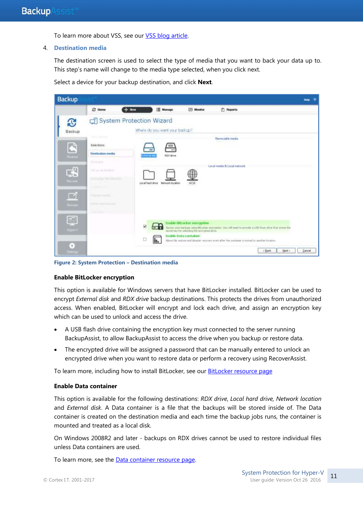To learn more about VSS, see ou[r VSS blog article.](http://www.backupassist.com/blog/support/creating-consistent-backups-with-vss/)

#### 4. **Destination media**

The destination screen is used to select the type of media that you want to back your data up to. This step's name will change to the media type selected, when you click next.

Select a device for your backup destination, and click **Next**.



**Figure 2: System Protection – Destination media**

#### **Enable BitLocker encryption**

This option is available for Windows servers that have BitLocker installed. BitLocker can be used to encrypt *External disk* and *RDX drive* backup destinations. This protects the drives from unauthorized access. When enabled, BitLocker will encrypt and lock each drive, and assign an encryption key which can be used to unlock and access the drive.

- A USB flash drive containing the encryption key must connected to the server running BackupAssist, to allow BackupAssist to access the drive when you backup or restore data.
- The encrypted drive will be assigned a password that can be manually entered to unlock an encrypted drive when you want to restore data or perform a recovery using RecoverAssist.

To learn more, including how to install BitLocker, see our [BitLocker resource page](http://www.backupassist.com/education/resources/bitlocker-encryption.html)

#### **Enable Data container**

This option is available for the following destinations: *RDX drive*, *Local hard drive, Network location*  and *External disk*. A Data container is a file that the backups will be stored inside of. The Data container is created on the destination media and each time the backup jobs runs, the container is mounted and treated as a local disk.

On Windows 2008R2 and later - backups on RDX drives cannot be used to restore individual files unless Data containers are used.

To learn more, see the [Data container resource page.](http://www.backupassist.com/education/resources/data_containers.html)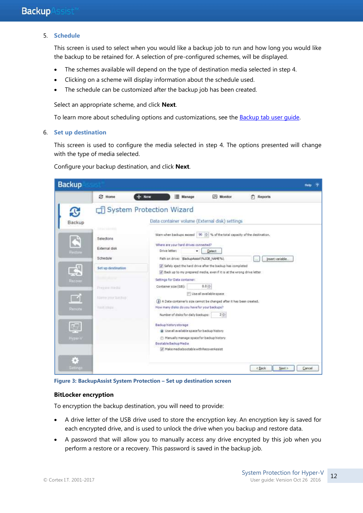#### 5. **Schedule**

This screen is used to select when you would like a backup job to run and how long you would like the backup to be retained for. A selection of pre-configured schemes, will be displayed.

- The schemes available will depend on the type of destination media selected in step 4.
- Clicking on a scheme will display information about the schedule used.
- The schedule can be customized after the backup job has been created.

Select an appropriate scheme, and click **Next**.

To learn more about scheduling options and customizations, see the [Backup tab user guide.](http://www.backupassist.com/education/v9/backupassist/backup-tab-guide.html)

#### 6. **Set up destination**

This screen is used to configure the media selected in step 4. The options presented will change with the type of media selected.

Configure your backup destination, and click **Next**.

| <b>Backup</b>                                                                    |                                                                                                                                              |                          |                                                                                                                                                                                                                                                                                                                                                                                                                                              |                                                                                                                                                                                                                                                                                                                                                          |                            | Help<br>۰ |
|----------------------------------------------------------------------------------|----------------------------------------------------------------------------------------------------------------------------------------------|--------------------------|----------------------------------------------------------------------------------------------------------------------------------------------------------------------------------------------------------------------------------------------------------------------------------------------------------------------------------------------------------------------------------------------------------------------------------------------|----------------------------------------------------------------------------------------------------------------------------------------------------------------------------------------------------------------------------------------------------------------------------------------------------------------------------------------------------------|----------------------------|-----------|
|                                                                                  | <b>23</b> Home                                                                                                                               | $+$ New                  | Manage                                                                                                                                                                                                                                                                                                                                                                                                                                       | Monitor                                                                                                                                                                                                                                                                                                                                                  | Reports                    |           |
| T.<br>Backup                                                                     |                                                                                                                                              | System Protection Wizard |                                                                                                                                                                                                                                                                                                                                                                                                                                              | Data container volume (External disk) settings                                                                                                                                                                                                                                                                                                           |                            |           |
| D<br><b>Restore</b><br>5<br><b>Hotow</b><br><b>Rumote</b><br>麻醉<br><b>HypaNV</b> | <b>CROW' ESTIMA</b><br>Selections<br>External disk<br>Schedule<br>Set up destination<br>Piezzie meda<br>Name (mcbachu)<br><b>Paint Image</b> |                          | Where are your hard drives connected?<br>Drive letter:<br>۰<br>Path on drive: BadupAssst\%XXB_NAME%\<br>Settings for Data container:<br>Container size (GB):<br>How many disks do you have for your backups?<br>Number of disks for daily backups:<br>Backup history storage<br>@ Use all available space for backup history<br>Manually manage space for backup history<br>Bootsbie Backup Media.<br>Make media bootable with RecoverAssist | Warn when backups exceed   90   16 % of the total capacity of the destination.<br>Detect.<br>Safely eject the hard drive after the backup has completed<br>Dack up to my prepared media, even if it is at the wrong drive letter<br>$0.0 =$<br>Use all available space<br>(a) A Data container's size cannot be changed after it has been created.<br>2순 | Insert variable.<br>$\sim$ |           |
| $\mathcal{C}$<br>Settings                                                        |                                                                                                                                              |                          |                                                                                                                                                                                                                                                                                                                                                                                                                                              |                                                                                                                                                                                                                                                                                                                                                          | Next ><br>< Back           | Cancel    |

**Figure 3: BackupAssist System Protection – Set up destination screen**

#### **BitLocker encryption**

To encryption the backup destination, you will need to provide:

- A drive letter of the USB drive used to store the encryption key. An encryption key is saved for each encrypted drive, and is used to unlock the drive when you backup and restore data.
- A password that will allow you to manually access any drive encrypted by this job when you perform a restore or a recovery. This password is saved in the backup job.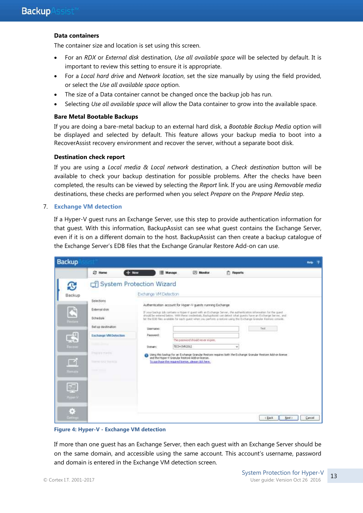#### **Data containers**

The container size and location is set using this screen.

- For an *RDX* or *External disk* destination, *Use all available space* will be selected by default. It is important to review this setting to ensure it is appropriate.
- For a *Local hard drive* and *Network location*, set the size manually by using the field provided, or select the *Use all available space* option.
- The size of a Data container cannot be changed once the backup job has run.
- Selecting *Use all available space* will allow the Data container to grow into the available space.

#### **Bare Metal Bootable Backups**

If you are doing a bare-metal backup to an external hard disk, a *Bootable Backup Media* option will be displayed and selected by default. This feature allows your backup media to boot into a RecoverAssist recovery environment and recover the server, without a separate boot disk.

#### **Destination check report**

If you are using a *Local media & Local network* destination, a *Check destination* button will be available to check your backup destination for possible problems. After the checks have been completed, the results can be viewed by selecting the *Report* link. If you are using *Removable media* destinations, these checks are performed when you select *Prepare* on the *Prepare Media* step.

#### 7. **Exchange VM detection**

If a Hyper-V guest runs an Exchange Server, use this step to provide authentication information for that guest. With this information, BackupAssist can see what guest contains the Exchange Server, even if it is on a different domain to the host. BackupAssist can then create a backup catalogue of the Exchange Server's EDB files that the Exchange Granular Restore Add-on can use.

| <b>Backup</b>                                                                                            |                                                                                                                                                                    |                                                                |                                                                                                                                                   |                                                                                                  |                                                                                                                                                                                                                                              |                                                                                                                                                                                                                                              | Hele:<br>ಾ |
|----------------------------------------------------------------------------------------------------------|--------------------------------------------------------------------------------------------------------------------------------------------------------------------|----------------------------------------------------------------|---------------------------------------------------------------------------------------------------------------------------------------------------|--------------------------------------------------------------------------------------------------|----------------------------------------------------------------------------------------------------------------------------------------------------------------------------------------------------------------------------------------------|----------------------------------------------------------------------------------------------------------------------------------------------------------------------------------------------------------------------------------------------|------------|
|                                                                                                          | <b>四 Home</b>                                                                                                                                                      | $+$ New                                                        | Manage                                                                                                                                            | <b>IPI Monitor</b>                                                                               | <b><i><u>n</u></i></b> Reports                                                                                                                                                                                                               |                                                                                                                                                                                                                                              |            |
| £<br>Backup<br>匹<br>lb.n.<br><b>Perton</b><br>感<br>Finca-e<br>n a<br>THEFT<br>圃<br><b>Higher's</b><br>ó, | Selections<br>External disk<br>Bohedule<br>Set up destination<br>Exchange VM Detection<br><b>STATE COMPANY</b><br>Thursday<br>Name (20) North<br><b>CONTRACTOR</b> | System Protection Wizard<br>Slowmarker<br>Password:<br>Domain: | Exchange VM Detection<br>TECH-9VR2012<br>and the Hyper-V Granular Restore Add-on license.<br>To purchase the required foerise, please click here. | Authentication account for Hyper-V quests running Exchange<br>This password should never mights. | If your backgs tob contains a Hyper-V quest with an Exchange Server, the authentication information for the quest<br>fair the EDB files available for each quest when you perform a restore using the Exchange Grandar Restore console.<br>w | should be entered below. With these credentials, BackupAstist can detect what quests have an Exchange Server, and<br>Twift<br>a Using this badiup for an Exchange Granular Restore requires both the Exchange Granular Restore Add-on Icense |            |
| Gettings                                                                                                 |                                                                                                                                                                    |                                                                |                                                                                                                                                   |                                                                                                  |                                                                                                                                                                                                                                              | Ned.)<br><back< td=""><td>Cancel</td></back<>                                                                                                                                                                                                | Cancel     |

#### **Figure 4: Hyper-V - Exchange VM detection**

If more than one guest has an Exchange Server, then each guest with an Exchange Server should be on the same domain, and accessible using the same account. This account's username, password and domain is entered in the Exchange VM detection screen.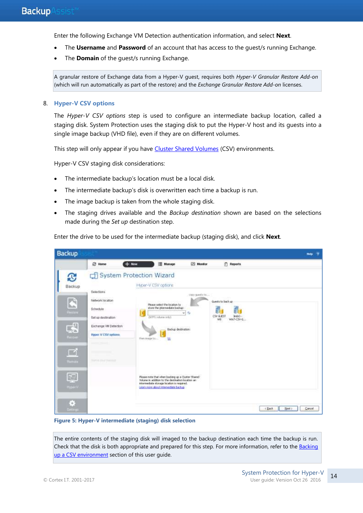Enter the following Exchange VM Detection authentication information, and select **Next**.

- The **Username** and **Password** of an account that has access to the guest/s running Exchange.
- The **Domain** of the quest/s running Exchange.

A granular restore of Exchange data from a Hyper-V guest, requires both *Hyper-V Granular Restore Add-on* (which will run automatically as part of the restore) and the *Exchange Granular Restore Add-on* licenses.

#### 8. **Hyper-V CSV options**

The *Hyper-V CSV options* step is used to configure an intermediate backup location, called a staging disk. System Protection uses the staging disk to put the Hyper-V host and its guests into a single image backup (VHD file), even if they are on different volumes.

This step will only appear if you have [Cluster Shared Volumes](#page-7-0) (CSV) environments.

Hyper-V CSV staging disk considerations:

- The intermediate backup's location must be a local disk.
- The intermediate backup's disk is overwritten each time a backup is run.
- The image backup is taken from the whole staging disk.
- The staging drives available and the *Backup destination* shown are based on the selections made during the *Set up* destination step.

Enter the drive to be used for the intermediate backup (staging disk), and click **Next**.

| <b>Backup</b>                                                                            |                                                                                                                                                                                                 |                                                                                                                                                                                                 |                          |                                                                                   |                                                   | <b>Hotp:</b> |
|------------------------------------------------------------------------------------------|-------------------------------------------------------------------------------------------------------------------------------------------------------------------------------------------------|-------------------------------------------------------------------------------------------------------------------------------------------------------------------------------------------------|--------------------------|-----------------------------------------------------------------------------------|---------------------------------------------------|--------------|
|                                                                                          | C Home                                                                                                                                                                                          | $+$ New<br><b>Manage</b>                                                                                                                                                                        | EN Monitor               | <b>P</b> Reports                                                                  |                                                   |              |
| £.<br>Backup<br>木<br>h.s.<br><b>Bandara</b><br>L\$<br><b>Heroe</b><br>◘<br><b>Humors</b> | Selections:<br>Network focation<br>오늘 들기 너무 더 먹어<br>Schedule:<br>Set up destination<br>Exchange VM Detection<br>Hyper /V CSV options.<br><b>Service Council</b><br><b>TEAMINE STAUF THANKER</b> | System Protection Wizard<br>Hyper-V CSV options<br>Please select the location to<br>store the intermediate badup!<br>H<br>(NTPS vehave striv)<br>Badap destination:<br>Z<br>from trange bo<br>饥 | Thiry questi to<br>w. Ba | Quests to back up<br>CSV GLEST<br>$3$ reb $O$ +<br>Wh7-CSV-G<br>W8<br>Web Project |                                                   |              |
| 园<br>Higherin<br>Ġ,<br>Settings.                                                         |                                                                                                                                                                                                 | Please note that when backing up a Cluster Shared<br>Volume in addition to the destination isolation an-<br>intermediate stanage location is required.<br>Learn more about internediate backup  |                          |                                                                                   | New y<br>Cancel<br><back< td=""><td></td></back<> |              |

**Figure 5: Hyper-V intermediate (staging) disk selection**

The entire contents of the staging disk will imaged to the backup destination each time the backup is run. Check that the disk is both appropriate and prepared for this step. For more information, refer to the Backing [up a CSV environment](#page-7-1) section of this user guide.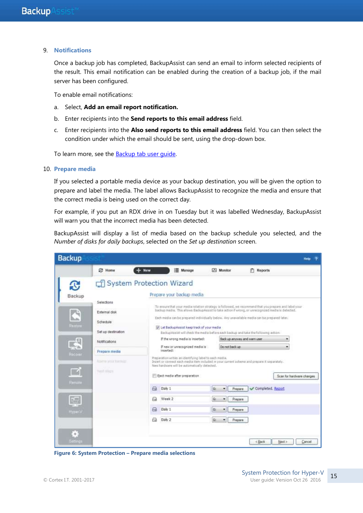#### 9. **Notifications**

Once a backup job has completed, BackupAssist can send an email to inform selected recipients of the result. This email notification can be enabled during the creation of a backup job, if the mail server has been configured.

To enable email notifications:

- a. Select, **Add an email report notification.**
- b. Enter recipients into the **Send reports to this email address** field.
- c. Enter recipients into the **Also send reports to this email address** field. You can then select the condition under which the email should be sent, using the drop-down box.

To learn more, see the [Backup tab user guide.](http://www.backupassist.com/education/v9/backupassist/backup-tab-guide.html)

#### 10. **Prepare media**

If you selected a portable media device as your backup destination, you will be given the option to prepare and label the media. The label allows BackupAssist to recognize the media and ensure that the correct media is being used on the correct day.

For example, if you put an RDX drive in on Tuesday but it was labelled Wednesday, BackupAssist will warn you that the incorrect media has been detected.

BackupAssist will display a list of media based on the backup schedule you selected, and the *Number of disks for daily backups*, selected on the *Set up destination* screen.



**Figure 6: System Protection – Prepare media selections**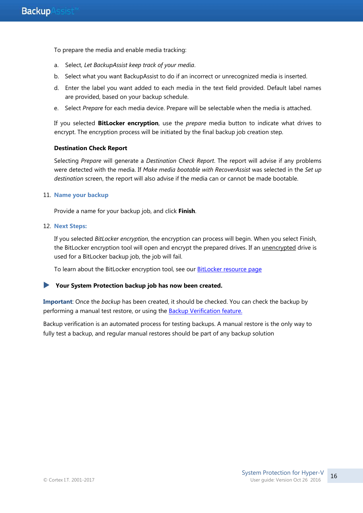To prepare the media and enable media tracking:

- a. Select, *Let BackupAssist keep track of your media*.
- b. Select what you want BackupAssist to do if an incorrect or unrecognized media is inserted.
- d. Enter the label you want added to each media in the text field provided. Default label names are provided, based on your backup schedule.
- e. Select *Prepare* for each media device. Prepare will be selectable when the media is attached.

If you selected **BitLocker encryption**, use the *prepare* media button to indicate what drives to encrypt. The encryption process will be initiated by the final backup job creation step.

#### **Destination Check Report**

Selecting *Prepare* will generate a *Destination Check Report*. The report will advise if any problems were detected with the media. If *Make media bootable with RecoverAssist* was selected in the *Set up destination* screen, the report will also advise if the media can or cannot be made bootable.

#### 11. **Name your backup**

Provide a name for your backup job, and click **Finish**.

#### 12. **Next Steps:**

If you selected *BitLocker encryption*, the encryption can process will begin. When you select Finish, the BitLocker encryption tool will open and encrypt the prepared drives. If an unencrypted drive is used for a BitLocker backup job, the job will fail.

To learn about the BitLocker encryption tool, see our **BitLocker resource page** 

#### **Your System Protection backup job has now been created.**

**Important**: Once the *backup* has been created, it should be checked. You can check the backup by performing a manual test restore, or using the [Backup Verification feature.](http://www.backupassist.com/education/resources/backup-verification.html)

Backup verification is an automated process for testing backups. A manual restore is the only way to fully test a backup, and regular manual restores should be part of any backup solution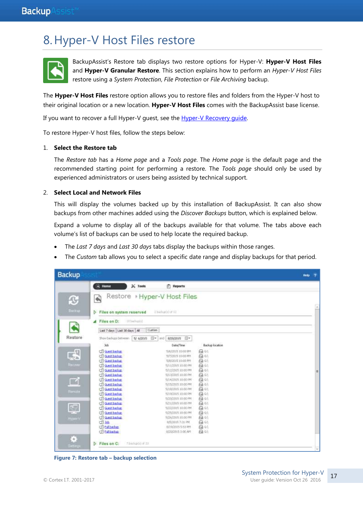## 8.Hyper-V Host Files restore



BackupAssist's Restore tab displays two restore options for Hyper-V: **Hyper-V Host Files** and **Hyper-V Granular Restore**. This section explains how to perform an *Hyper-V Host Files* restore using a *System Protection*, *File Protection* or *File Archiving* backup.

The **Hyper-V Host Files** restore option allows you to restore files and folders from the Hyper-V host to their original location or a new location. **Hyper-V Host Files** comes with the BackupAssist base license.

If you want to recover a full Hyper-V guest, see the [Hyper-V Recovery guide.](http://www.backupassist.com/education/v9/backupassist/hyper-v-recovery-guide.html)

To restore Hyper-V host files, follow the steps below:

#### 1. **Select the Restore tab**

The *Restore tab* has a *Home page* and a *Tools page*. The *Home page* is the default page and the recommended starting point for performing a restore. The *Tools page* should only be used by experienced administrators or users being assisted by technical support.

#### 2. **Select Local and Network Files**

This will display the volumes backed up by this installation of BackupAssist. It can also show backups from other machines added using the *Discover Backups* button, which is explained below.

Expand a volume to display all of the backups available for that volume. The tabs above each volume's list of backups can be used to help locate the required backup.

- The *Last 7 days* and *Last 30 days* tabs display the backups within those ranges.
- The *Custom* tab allows you to select a specific date range and display backups for that period.

| <b>Backup</b>                               |                                                                                                                                                                                                                                                                                                                                                                                                              | $\overline{2}$<br>Help |
|---------------------------------------------|--------------------------------------------------------------------------------------------------------------------------------------------------------------------------------------------------------------------------------------------------------------------------------------------------------------------------------------------------------------------------------------------------------------|------------------------|
| O<br>Васкир                                 | $\approx$ Home<br>$X$ Tools<br><b>Peports</b><br>Restore + Hyper-V Host Files<br>ক্রী<br>2 bickets) of 12<br>Files on system reserved                                                                                                                                                                                                                                                                        | W                      |
| Restore                                     | Files on D:<br>183-shupod<br>◢<br>Custom<br>Last 7 days   Last 30 days   All                                                                                                                                                                                                                                                                                                                                 |                        |
| 国<br>Reconn                                 | 日+<br>Show backups between<br>5/ 6/2015<br>erd 8/20/2015 图*<br><b>Job</b><br><b>Backup location</b><br>Date/Time<br>日中<br>CTI Guest beclum<br>106/2015 10:00 PM<br>A of<br>cill Guest backup<br>5/7/2015 10:00 PM<br>日中<br>cfl Guest backup<br>5/8/2015 10:00 PM<br>日中<br>Cf) Guest backup<br>5/11/2015 10:00 PM<br>日时<br>CT Suest beckup<br>当日2015 10:00 PM<br>cfl Guest backup<br>日叶<br>5/13/2015 10:00 PM | 표                      |
| ◘<br>Female.<br>國                           | 日中<br>CTI Guest backup<br>S/L4/2015 10:00 PM<br>日中<br><b>CEI Guest backup</b><br>S/15/2015 10:00 PM<br>r: Guest backup<br>日中<br>5/18/2015 10:00 FM<br>CTI Guest backup<br>음악<br>5/19/2015 10:00 PM<br>Cil Suest backup<br>A sit<br>1/20/2015 10:00 PM<br><b>CTI-Suest backup</b><br>日中<br>5/31/2015 10:00 FM<br>G Guest backup<br>日年<br>5/22/2015 10:00 PM                                                   |                        |
| Hyper <sup>32</sup><br>Ġ,<br><b>attaigs</b> | <b>CTI Guest backup</b><br>$G$ of<br>1/25/2015 10:00 PM<br>日中<br>cfl Suest backup<br>5/26/2015 10:00 PM<br>日中<br>CTI Job<br>市西/2015 7:31 PM<br>cill rul bedup<br>日中<br>8/19/2015 5:53 PM<br>A Git<br>cfl Full backup<br>8/20/2015 3:00 AM<br><b>D</b> Files on C:<br>#backgrb) of 33                                                                                                                         |                        |

**Figure 7: Restore tab – backup selection**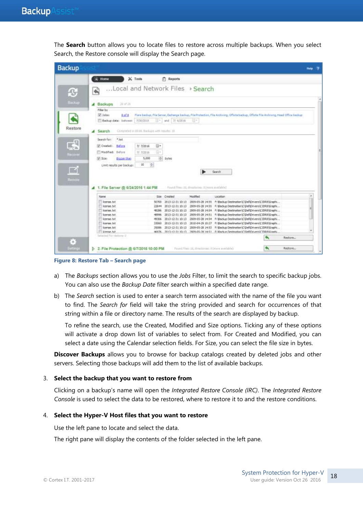The **Search** button allows you to locate files to restore across multiple backups. When you select Search, the Restore console will display the Search page.

| <b>Backup</b>                                   |                                                                                                                                                                                                                                                                                                                                                                                                                                                                                   | ಾ<br><b>Help:</b> |
|-------------------------------------------------|-----------------------------------------------------------------------------------------------------------------------------------------------------------------------------------------------------------------------------------------------------------------------------------------------------------------------------------------------------------------------------------------------------------------------------------------------------------------------------------|-------------------|
| ß<br><b>Backup</b><br>Restore<br>E <sup>q</sup> | $K$ Tools<br>$R$ Home<br>FT Reports<br>Local and Network Files > Search<br>设计设<br>Backups<br>◢<br>Filter by<br>V John:<br>Fiare backup, File Servar, Exchange backup, File Protection, File Archiving, Offsite Backup, Offsite File Archiving, Head Office backup<br>8 of #<br>- and 7/ 6/2016<br>7/30/2019<br>EH.<br>Backup data: batween<br>Completed in 00:00. Backgoo with results: 10.<br>Search<br><b>Search for:</b><br>*.bit<br>B+<br>[2] Crested:<br>Before<br>7/ 7/2016 |                   |
| <b>Necore</b><br><b>IK</b><br>Rentale           | Madified<br>Before<br>ß.<br>7/ 7/2016<br>÷ bytes<br>5,000<br>$J$ Sze<br>Bigger than<br>樹<br>$10^{-1}$<br>Limit results per backup<br>Search<br>Found New 10, directories: 8 Dresse available?<br>1. File Server @ 6/24/2016 1:44 PM                                                                                                                                                                                                                                               |                   |
|                                                 | Name<br>Size Created<br>Hodified:<br>Location                                                                                                                                                                                                                                                                                                                                                                                                                                     | ×                 |
|                                                 | lowner, but<br>2013-12-31 10:13 2005-05-28 14:55 F: Backup Destination\C/Dell'Drivers\CXIR8\Graphi<br>50700<br>license .txt<br>2013-12-31 30:13<br>2009-05-28 14:55 F/@adup Destination\C\Dell'Drivers\CJDR8\Graphi<br>22644<br>m<br>learned fut<br>2013-12-31 10:13 2009-05-28 14:54 F: Backup Destmation C Def Drivers/C2DR8\Graphi<br>48286<br>iceres.txt<br>2013-12-31 30:13 2009-05-20 14:51 f: Backup Destination C Dell Drivers C XXXII Graph<br>40996                     |                   |
|                                                 | license.bit<br>2013-12-31 10:13 2009-05-28 14:54 F/Backup Destination C/Dell/Drivers/C3DR8/Graphi<br>49306<br>iceres tet<br>2013-12-31 10:13 2010-04-29 10:27 F: Backup Destination C/DeF/Dnvers/C2DR8/Graph<br>33060<br>lowrer, bit<br>2013-12-31 10:13 2009-05-28 14:53 F: Beckup Destmation C/Dell'Drivers/CJDR3/Graphi<br>35086<br>TI linense tid<br>46976 2013-13-31 10:13 2009-05-28 14:51 F Wack in Destruction C VielDrivers/C DRAVGradia                                 |                   |
|                                                 | beletted for restorer it<br>Restore                                                                                                                                                                                                                                                                                                                                                                                                                                               |                   |
| B<br><b>Surfange</b>                            | D 2. File Protection @ 6/7/2016 10:00 PM<br>Pound files: 11, illractimes: If (Horn available)<br>Restore                                                                                                                                                                                                                                                                                                                                                                          |                   |

**Figure 8: Restore Tab – Search page**

- a) The *Backups* section allows you to use the *Jobs* Filter, to limit the search to specific backup jobs. You can also use the *Backup Date* filter search within a specified date range.
- b) The *Search* section is used to enter a search term associated with the name of the file you want to find. The *Search for* field will take the string provided and search for occurrences of that string within a file or directory name. The results of the search are displayed by backup.

To refine the search, use the Created, Modified and Size options. Ticking any of these options will activate a drop down list of variables to select from. For Created and Modified, you can select a date using the Calendar selection fields. For Size, you can select the file size in bytes.

**Discover Backups** allows you to browse for backup catalogs created by deleted jobs and other servers. Selecting those backups will add them to the list of available backups.

#### 3. **Select the backup that you want to restore from**

Clicking on a backup's name will open the *Integrated Restore Console (IRC)*. The *Integrated Restore Console* is used to select the data to be restored, where to restore it to and the restore conditions.

#### 4. **Select the Hyper-V Host files that you want to restore**

Use the left pane to locate and select the data.

The right pane will display the contents of the folder selected in the left pane.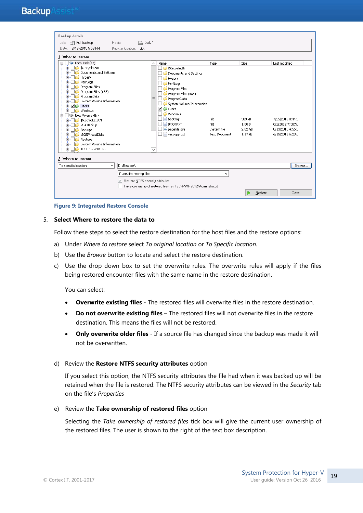| <b>Backup details</b>                                                                                                                                                                                                                                                                                                                                                                                                |                          |                                      |                                                                                                                                                                                                                                                      |                                                      |                                                |                                                                                         |
|----------------------------------------------------------------------------------------------------------------------------------------------------------------------------------------------------------------------------------------------------------------------------------------------------------------------------------------------------------------------------------------------------------------------|--------------------------|--------------------------------------|------------------------------------------------------------------------------------------------------------------------------------------------------------------------------------------------------------------------------------------------------|------------------------------------------------------|------------------------------------------------|-----------------------------------------------------------------------------------------|
| Full backup<br>Job:                                                                                                                                                                                                                                                                                                                                                                                                  | Media:                   | A Daily 1                            |                                                                                                                                                                                                                                                      |                                                      |                                                |                                                                                         |
| 8/19/2015 5:53 PM<br>Date:                                                                                                                                                                                                                                                                                                                                                                                           | Backup location: G:\     |                                      |                                                                                                                                                                                                                                                      |                                                      |                                                |                                                                                         |
| 1. What to restore                                                                                                                                                                                                                                                                                                                                                                                                   |                          |                                      |                                                                                                                                                                                                                                                      |                                                      |                                                |                                                                                         |
| $\triangleright$ Local Disk (C:)<br>Ξ.<br>\$Recycle.Bin<br>Ėŀ<br>Documents and Settings<br>HyperV<br>PerfLogs<br>Program Files<br>Program Files (x86)<br>ProgramData<br>System Volume Information<br>$\sqrt{1}$ Users<br>$+$<br>Windows<br>$\dot{+}$<br>New Volume (E:)<br>Ėŀ<br>\$RECYCLE.BIN<br>$+$<br>204 Backup<br>Backups<br><b>iSCSIVirtualDisks</b><br>Restore<br>System Volume Information<br>TECH-SRV2012R2 |                          | $\wedge$<br>$\equiv$<br>$\checkmark$ | Name<br>■ \$Recycle.Bin<br>Documents and Settings<br>HyperV<br>PerfLogs<br>Program Files<br>Program Files (x86)<br>ProgramData<br>System Volume Information<br>V Users<br><b>Windows</b><br>bootmgr<br><b>BOOTNXT</b><br>pagefile.sys<br>vsscopy.txt | Type<br>File<br>File<br>System file<br>Text Document | Size<br>389 kB<br>1.00 B<br>2.02 GB<br>1.17 kB | Last modified<br>7/25/2012 8:44:<br>6/2/2012 7:30:5<br>8/13/2015 4:56:<br>6/15/20156:23 |
| 2. Where to restore                                                                                                                                                                                                                                                                                                                                                                                                  |                          |                                      |                                                                                                                                                                                                                                                      |                                                      |                                                |                                                                                         |
| To specific location<br>٧                                                                                                                                                                                                                                                                                                                                                                                            | D:\Restore\              |                                      |                                                                                                                                                                                                                                                      |                                                      |                                                | Browse                                                                                  |
|                                                                                                                                                                                                                                                                                                                                                                                                                      | Overwrite existing files |                                      |                                                                                                                                                                                                                                                      | v                                                    |                                                |                                                                                         |
|                                                                                                                                                                                                                                                                                                                                                                                                                      |                          | Restore NTFS security attributes     |                                                                                                                                                                                                                                                      |                                                      |                                                |                                                                                         |
|                                                                                                                                                                                                                                                                                                                                                                                                                      |                          |                                      | Take ownership of restored files [as TECH-SVR2012\Administrator]                                                                                                                                                                                     |                                                      |                                                |                                                                                         |
|                                                                                                                                                                                                                                                                                                                                                                                                                      |                          |                                      |                                                                                                                                                                                                                                                      |                                                      | Restore                                        | Close                                                                                   |

#### **Figure 9: Integrated Restore Console**

#### 5. **Select Where to restore the data to**

Follow these steps to select the restore destination for the host files and the restore options:

- a) Under *Where to restore* select *To original location* or *To Specific location*.
- b) Use the *Browse* button to locate and select the restore destination.
- c) Use the drop down box to set the overwrite rules. The overwrite rules will apply if the files being restored encounter files with the same name in the restore destination.

You can select:

- **Overwrite existing files** The restored files will overwrite files in the restore destination.
- **Do not overwrite existing files** The restored files will not overwrite files in the restore destination. This means the files will not be restored.
- **Only overwrite older files** If a source file has changed since the backup was made it will not be overwritten.

#### d) Review the **Restore NTFS security attributes** option

If you select this option, the NTFS security attributes the file had when it was backed up will be retained when the file is restored. The NTFS security attributes can be viewed in the *Security* tab on the file's *Properties*

#### e) Review the **Take ownership of restored files** option

Selecting the *Take ownership of restored files* tick box will give the current user ownership of the restored files. The user is shown to the right of the text box description.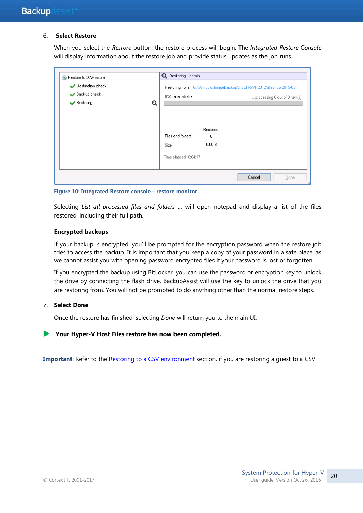#### 6. **Select Restore**

When you select the *Restore* button, the restore process will begin. The *Integrated Restore Console*  will display information about the restore job and provide status updates as the job runs.

| Restore to D: \Restore<br>Destination check<br>Backup check<br>$\blacktriangleright$ Restoring<br>Q | <b>Q</b> Restoring - details<br>Restoring from G:\WindowsImageBackup\TECH-SVR2012\Backup 2015-08-<br>0% complete<br>processing 0 out of 0 item(s) |
|-----------------------------------------------------------------------------------------------------|---------------------------------------------------------------------------------------------------------------------------------------------------|
|                                                                                                     | Restored:<br>Files and folders:<br>$\mathbf{0}$<br>0.00B<br>Size:<br>Time elapsed: 0:04:17                                                        |
|                                                                                                     | Cancel<br>Done                                                                                                                                    |

**Figure 10: Integrated Restore console – restore monitor**

Selecting *List all processed files and folders …* will open notepad and display a list of the files restored, including their full path.

#### **Encrypted backups**

If your backup is encrypted, you'll be prompted for the encryption password when the restore job tries to access the backup. It is important that you keep a copy of your password in a safe place, as we cannot assist you with opening password encrypted files if your password is lost or forgotten.

If you encrypted the backup using BitLocker, you can use the password or encryption key to unlock the drive by connecting the flash drive. BackupAssist will use the key to unlock the drive that you are restoring from. You will not be prompted to do anything other than the normal restore steps.

#### 7. **Select Done**

Once the restore has finished, selecting *Done* will return you to the main UI.

#### **Your Hyper-V Host Files restore has now been completed.**

**Important**: Refer to the [Restoring to a CSV environment](#page-7-2) section, if you are restoring a guest to a CSV.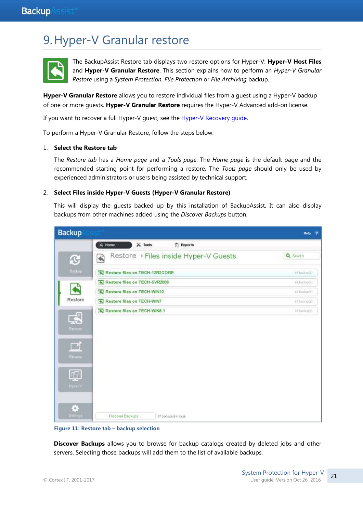## 9.Hyper-V Granular restore



The BackupAssist Restore tab displays two restore options for Hyper-V: **Hyper-V Host Files** and **Hyper-V Granular Restore**. This section explains how to perform an *Hyper-V Granular Restore* using a *System Protection*, *File Protection* or *File Archiving* backup.

**Hyper-V Granular Restore** allows you to restore individual files from a guest using a Hyper-V backup of one or more guests. **Hyper-V Granular Restore** requires the Hyper-V Advanced add-on license.

If you want to recover a full Hyper-V guest, see the [Hyper-V Recovery guide.](http://www.backupassist.com/education/v9/backupassist/hyper-v-recovery-guide.html)

To perform a Hyper-V Granular Restore, follow the steps below:

#### 1. **Select the Restore tab**

The *Restore tab* has a *Home page* and a *Tools page*. The *Home page* is the default page and the recommended starting point for performing a restore. The *Tools page* should only be used by experienced administrators or users being assisted by technical support.

#### 2. **Select Files inside Hyper-V Guests (Hyper-V Granular Restore)**

This will display the guests backed up by this installation of BackupAssist. It can also display backups from other machines added using the *Discover Backups* button.



**Figure 11: Restore tab – backup selection**

**Discover Backups** allows you to browse for backup catalogs created by deleted jobs and other servers. Selecting those backups will add them to the list of available backups.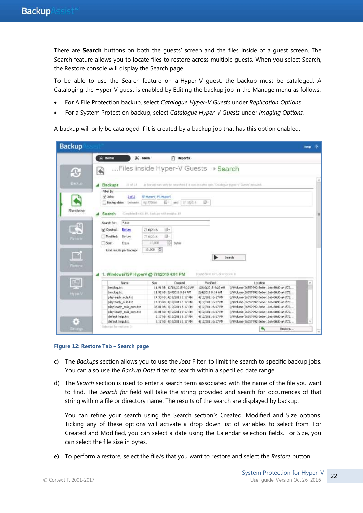There are **Search** buttons on both the guests' screen and the files inside of a guest screen. The Search feature allows you to locate files to restore across multiple guests. When you select Search, the Restore console will display the Search page.

To be able to use the Search feature on a Hyper-V guest, the backup must be cataloged. A Cataloging the Hyper-V guest is enabled by Editing the backup job in the Manage menu as follows:

- For A File Protection backup, select *Catalogue Hyper-V Guests* under *Replication Options.*
- For a System Protection backup, select *Catalogue Hyper-V Guests* under *Imaging Options.*

A backup will only be cataloged if it is created by a backup job that has this option enabled.

| <b>Backup</b>             |                                                                                            |                                                                                    |                                        |                                                                                         | <b>Help</b> |
|---------------------------|--------------------------------------------------------------------------------------------|------------------------------------------------------------------------------------|----------------------------------------|-----------------------------------------------------------------------------------------|-------------|
|                           | $\leftrightarrow$ Home<br>$\mathbb{X}$ Tools                                               | <b>T</b> Reports                                                                   |                                        |                                                                                         |             |
| ſG,                       | ۸                                                                                          | Files inside Hyper-V Guests > Search                                               |                                        |                                                                                         |             |
| <b>Buckup</b>             | $71 + 71$<br><b>Backups</b>                                                                | A better on only be searched it was treated with "Catalogue None-V Guesta' modied. |                                        |                                                                                         |             |
|                           | Filter by<br>$\blacktriangleright$ 3dec<br>2.05.2<br>6/17/2016<br>Backup date:<br>between. | SP HyperV, FR HyperV<br>前三<br>and $7/12016$                                        | 带。                                     |                                                                                         |             |
| Restore                   | Completed in OlivIV, Backgra-with results: 19<br>Search                                    |                                                                                    |                                        |                                                                                         |             |
|                           | $M^*$<br>Search for:                                                                       |                                                                                    |                                        |                                                                                         |             |
| 대<br>Recover              | Created:<br>Before<br>71.6/2016<br>Modified:<br>Before<br>71.6/2016                        | iii v<br>同-                                                                        |                                        |                                                                                         |             |
|                           | She:<br>Equal<br>Link results per backup:                                                  | 阳<br>10,000<br>bytes<br>10,000 0                                                   |                                        |                                                                                         |             |
| $\blacksquare$<br>Ramitia | 1. Windows7\SP HyperV @ 7/1/2016 4:01 PM                                                   |                                                                                    | Found files: 421, desclosies: II       | Search                                                                                  |             |
| 國                         | Name                                                                                       | Created<br>Spe                                                                     | NoWed.                                 | Location                                                                                |             |
|                           | bridog.bt                                                                                  | 11.9118 12/10/2015 9:22 AM                                                         | 12/10/2015 9:22 AM                     | ()7(Volume(26857992-3e6e-11e6-80d0-a41f72                                               |             |
| <b>HyporV</b>             | bmdog.bit                                                                                  | 11.92 kB 2J4/2016 9:14 AM                                                          | 2/4/2016 9:14 AM                       | ()7) Volume (26857992-3e6e-11e6-80d0-a41F72                                             |             |
|                           | playready sula.txt                                                                         | 14.30 kB 4J12/2011 6:17 PM                                                         | 4/12/2011 6:17 PM                      | 1171Volume(26857992-3e6e-11e6-80d0-e41f72                                               |             |
|                           | playready eula.txt                                                                         | 14.30 B 4/12/2011 6:17 PM                                                          | 4/12/2011 6:17 PM                      | \\7\Volume{26857992-3e6e-11e6-80d0-a41f72                                               |             |
|                           | playReady sula cernibit                                                                    | 35.61 kB 4/12/2011 6:17 PM                                                         | 4/12/2011 6:17 PM                      | (i/\Volume{26857992-3ede-11e6-80d0-e41F72<br>117\\okatie(26857992-3e6e-11e6-80d0-a41f72 |             |
|                           |                                                                                            | 35.81 lB 4/12/2011 6:17 PM                                                         | 4/12/2011 6:17 PM                      |                                                                                         |             |
|                           | playReady mula cem.txt                                                                     |                                                                                    |                                        |                                                                                         |             |
| ×                         | default.help.txt<br>default.help.txt                                                       | 2.17 kB 4/12/2011 6:17 PM<br>2.17 kB 4/12/2011 6:17 PM                             | 4/12/2011 6:17 PM<br>4/12/2011 6:17 PM | \\7\Volume{26857992-3e6e-11e6-80d0-a41f72<br>1)71Volume (26857992-3e6e-11e6-80d0-a41772 |             |

#### **Figure 12: Restore Tab – Search page**

- c) The *Backups* section allows you to use the *Jobs* Filter, to limit the search to specific backup jobs. You can also use the *Backup Date* filter to search within a specified date range.
- d) The *Search* section is used to enter a search term associated with the name of the file you want to find. The *Search for* field will take the string provided and search for occurrences of that string within a file or directory name. The results of the search are displayed by backup.

You can refine your search using the Search section's Created, Modified and Size options. Ticking any of these options will activate a drop down list of variables to select from. For Created and Modified, you can select a date using the Calendar selection fields. For Size, you can select the file size in bytes.

e) To perform a restore, select the file/s that you want to restore and select the *Restore* button.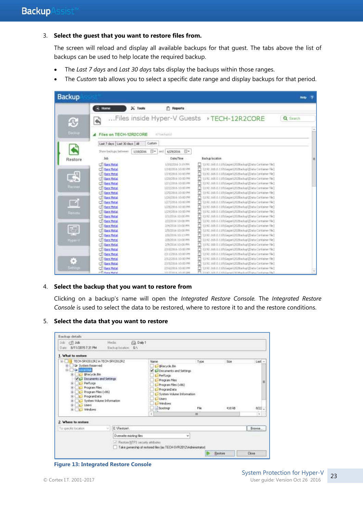#### 3. **Select the guest that you want to restore files from.**

The screen will reload and display all available backups for that guest. The tabs above the list of backups can be used to help locate the required backup.

- The *Last 7 days* and *Last 30 days* tabs display the backups within those ranges.
- The *Custom* tab allows you to select a specific date range and display backups for that period.



#### 4. **Select the backup that you want to restore from**

Clicking on a backup's name will open the *Integrated Restore Console.* The *Integrated Restore Console* is used to select the data to be restored, where to restore it to and the restore conditions.

#### 5. **Select the data that you want to restore**



**Figure 13: Integrated Restore Console**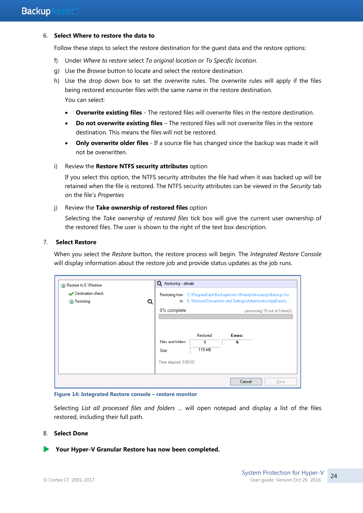#### 6. **Select Where to restore the data to**

Follow these steps to select the restore destination for the guest data and the restore options:

- f) Under *Where to restore* select *To original location* or *To Specific location*.
- g) Use the *Browse* button to locate and select the restore destination.
- h) Use the drop down box to set the overwrite rules. The overwrite rules will apply if the files being restored encounter files with the same name in the restore destination. You can select:
	- **Overwrite existing files** The restored files will overwrite files in the restore destination.
	- **Do not overwrite existing files** The restored files will not overwrite files in the restore destination. This means the files will not be restored.
	- **Only overwrite older files** If a source file has changed since the backup was made it will not be overwritten.
- i) Review the **Restore NTFS security attributes** option

If you select this option, the NTFS security attributes the file had when it was backed up will be retained when the file is restored. The NTFS security attributes can be viewed in the *Security* tab on the file's *Properties*

#### j) Review the **Take ownership of restored files** option

Selecting the *Take ownership of restored files* tick box will give the current user ownership of the restored files. The user is shown to the right of the text box description.

#### 7. **Select Restore**

When you select the *Restore* button, the restore process will begin. The *Integrated Restore Console*  will display information about the restore job and provide status updates as the job runs.

| Restore to E:\Restore<br>$\infty$          |   | Q<br>Restoring - details |                |                                                                                                                      |                                |
|--------------------------------------------|---|--------------------------|----------------|----------------------------------------------------------------------------------------------------------------------|--------------------------------|
| Destination check<br>Restoring<br>$\infty$ | Q | Restoring from<br>to     |                | C:\ProgramData\BackupAssist v9\temp\nkwyazsp\Backup Usi<br>E:\Restore\Documents and Settings\Administrator\AppData\L |                                |
|                                            |   | 0% complete              |                |                                                                                                                      | processing 15 out of 0 item(s) |
|                                            |   |                          |                |                                                                                                                      |                                |
|                                            |   | Files and folders:       | Restored:<br>9 | Errors:<br>6                                                                                                         |                                |
|                                            |   | Size:                    | 115 MB         |                                                                                                                      |                                |
|                                            |   | Time elapsed: 0:00:02    |                |                                                                                                                      |                                |
|                                            |   |                          |                |                                                                                                                      |                                |
|                                            |   |                          |                | Cancel                                                                                                               | Done                           |

**Figure 14: Integrated Restore console – restore monitor**

Selecting *List all processed files and folders …* will open notepad and display a list of the files restored, including their full path.

#### 8. **Select Done**

**Your Hyper-V Granular Restore has now been completed.**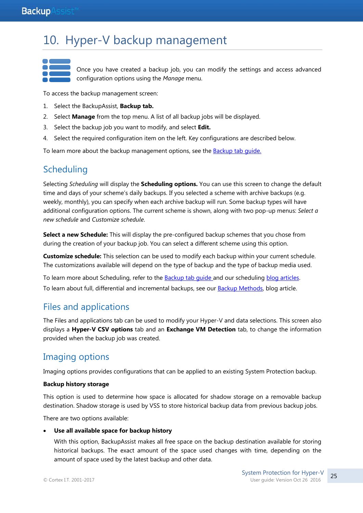## 10. Hyper-V backup management

Once you have created a backup job, you can modify the settings and access advanced configuration options using the *Manage* menu.

To access the backup management screen:

- 1. Select the BackupAssist, **Backup tab.**
- 2. Select **Manage** from the top menu. A list of all backup jobs will be displayed.
- 3. Select the backup job you want to modify, and select **Edit.**
- 4. Select the required configuration item on the left. Key configurations are described below.

To learn more about the backup management options, see the [Backup tab guide.](http://www.backupassist.com/education/v9/backupassist/backup-tab-guide.html)

## **Scheduling**

Selecting *Scheduling* will display the **Scheduling options.** You can use this screen to change the default time and days of your scheme's daily backups. If you selected a scheme with archive backups (e.g. weekly, monthly), you can specify when each archive backup will run. Some backup types will have additional configuration options. The current scheme is shown, along with two pop-up menus: *Select a new schedule* and *Customize schedule*.

**Select a new Schedule:** This will display the pre-configured backup schemes that you chose from during the creation of your backup job. You can select a different scheme using this option.

**Customize schedule:** This selection can be used to modify each backup within your current schedule. The customizations available will depend on the type of backup and the type of backup media used.

To learn more about Scheduling, refer to the **Backup tab quide and our scheduling blog articles**. To learn about full, differential and incremental backups, see our **Backup Methods**, blog article.

## Files and applications

The Files and applications tab can be used to modify your Hyper-V and data selections. This screen also displays a **Hyper-V CSV options** tab and an **Exchange VM Detection** tab, to change the information provided when the backup job was created.

## Imaging options

Imaging options provides configurations that can be applied to an existing System Protection backup.

#### **Backup history storage**

This option is used to determine how space is allocated for shadow storage on a removable backup destination. Shadow storage is used by VSS to store historical backup data from previous backup jobs.

There are two options available:

#### **Use all available space for backup history**

With this option, BackupAssist makes all free space on the backup destination available for storing historical backups. The exact amount of the space used changes with time, depending on the amount of space used by the latest backup and other data.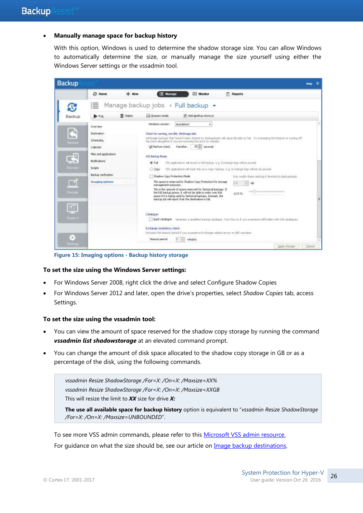#### **Manually manage space for backup history**

With this option, Windows is used to determine the shadow storage size. You can allow Windows to automatically determine the size, or manually manage the size yourself using either the Windows Server settings or the vssadmin tool.



**Figure 15: Imaging options - Backup history storage** 

#### **To set the size using the Windows Server settings:**

- For Windows Server 2008, right click the drive and select Configure Shadow Copies
- For Windows Server 2012 and later, open the drive's properties, select *Shadow Copies* tab, access Settings.

#### **To set the size using the vssadmin tool:**

- You can view the amount of space reserved for the shadow copy storage by running the command *vssadmin list shadowstorage* at an elevated command prompt.
- You can change the amount of disk space allocated to the shadow copy storage in GB or as a percentage of the disk, using the following commands.

*vssadmin Resize ShadowStorage /For=X: /On=X: /Maxsize=XX% vssadmin Resize ShadowStorage /For=X: /On=X: /Maxsize=XXGB* This will resize the limit to *XX* size for drive *X:*

**The use all available space for backup history** option is equivalent to "*vssadmin Resize ShadowStorage /For=X: /On=X: /Maxsize=UNBOUNDED*".

To see more VSS admin commands, please refer to this [Microsoft VSS admin resource.](http://technet.microsoft.com/en-us/library/cc754968.aspx) For quidance on what the size should be, see our article on [Image backup destinations.](http://www.backupassist.com/blog/support/image-backup-destination-selection/)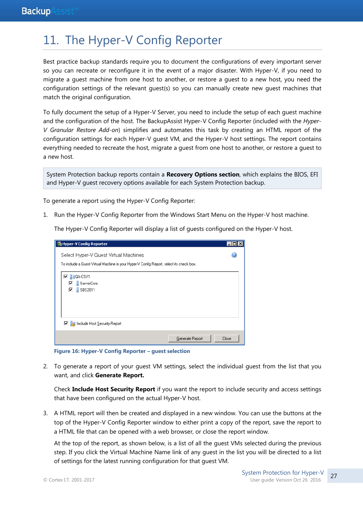## 11. The Hyper-V Config Reporter

Best practice backup standards require you to document the configurations of every important server so you can recreate or reconfigure it in the event of a major disaster. With Hyper-V, if you need to migrate a guest machine from one host to another, or restore a guest to a new host, you need the configuration settings of the relevant guest(s) so you can manually create new guest machines that match the original configuration.

To fully document the setup of a Hyper-V Server, you need to include the setup of each guest machine and the configuration of the host. The BackupAssist Hyper-V Config Reporter (included with the *Hyper-V Granular Restore Add-on*) simplifies and automates this task by creating an HTML report of the configuration settings for each Hyper-V guest VM, and the Hyper-V host settings. The report contains everything needed to recreate the host, migrate a guest from one host to another, or restore a guest to a new host.

System Protection backup reports contain a **Recovery Options section**, which explains the BIOS, EFI and Hyper-V guest recovery options available for each System Protection backup.

To generate a report using the Hyper-V Config Reporter:

1. Run the Hyper-V Config Reporter from the Windows Start Menu on the Hyper-V host machine.

The Hyper-V Config Reporter will display a list of guests configured on the Hyper-V host.

| Hyper-V Config Reporter                                                                 |       |
|-----------------------------------------------------------------------------------------|-------|
| Select Hyper-V Guest Virtual Machines                                                   |       |
| To include a Guest Virtual Machine in your Hyper-V Config Report, select its check box. |       |
| Π≣<br><b>QA-CSV1</b>                                                                    |       |
| ServerCore                                                                              |       |
| $\frac{3}{2}$ SBS2011<br>⊽                                                              |       |
|                                                                                         |       |
|                                                                                         |       |
|                                                                                         |       |
| □ and Include Host Security Report                                                      |       |
|                                                                                         |       |
| Generate Report                                                                         | Close |

**Figure 16: Hyper-V Config Reporter – guest selection**

2. To generate a report of your guest VM settings, select the individual guest from the list that you want, and click **Generate Report.**

Check **Include Host Security Report** if you want the report to include security and access settings that have been configured on the actual Hyper-V host.

3. A HTML report will then be created and displayed in a new window. You can use the buttons at the top of the Hyper-V Config Reporter window to either print a copy of the report, save the report to a HTML file that can be opened with a web browser, or close the report window.

At the top of the report, as shown below, is a list of all the guest VMs selected during the previous step. If you click the Virtual Machine Name link of any guest in the list you will be directed to a list of settings for the latest running configuration for that guest VM.